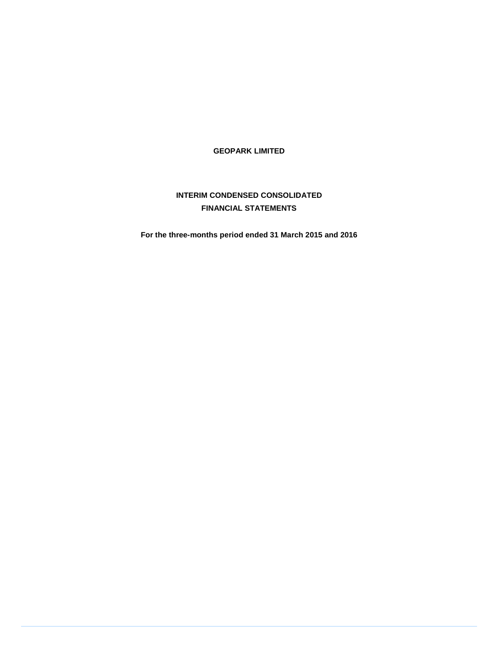**GEOPARK LIMITED** 

# **INTERIM CONDENSED CONSOLIDATED FINANCIAL STATEMENTS**

**For the three-months period ended 31 March 2015 and 2016**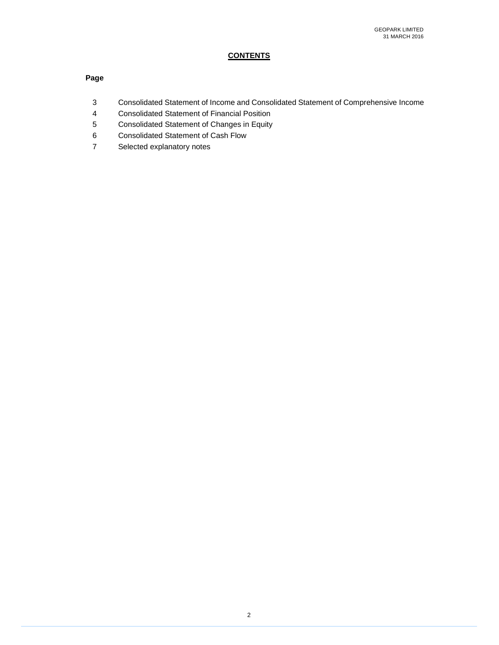# **CONTENTS**

# **Page**

- 3 Consolidated Statement of Income and Consolidated Statement of Comprehensive Income
- 4 Consolidated Statement of Financial Position
- 5 Consolidated Statement of Changes in Equity
- 6 Consolidated Statement of Cash Flow
- 7 Selected explanatory notes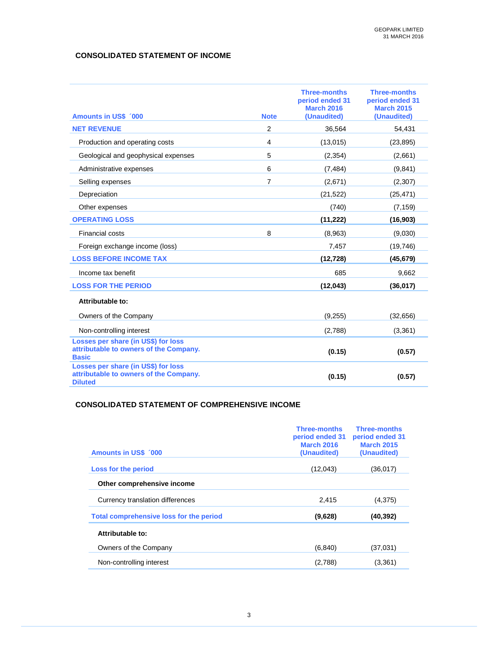# **CONSOLIDATED STATEMENT OF INCOME**

| <b>Amounts in US\$ '000</b>                                                                     | <b>Note</b>    | <b>Three-months</b><br>period ended 31<br><b>March 2016</b><br>(Unaudited) | <b>Three-months</b><br>period ended 31<br><b>March 2015</b><br>(Unaudited) |
|-------------------------------------------------------------------------------------------------|----------------|----------------------------------------------------------------------------|----------------------------------------------------------------------------|
| <b>NET REVENUE</b>                                                                              | 2              | 36,564                                                                     | 54,431                                                                     |
| Production and operating costs                                                                  | 4              | (13, 015)                                                                  | (23, 895)                                                                  |
| Geological and geophysical expenses                                                             | 5              | (2, 354)                                                                   | (2,661)                                                                    |
| Administrative expenses                                                                         | 6              | (7, 484)                                                                   | (9,841)                                                                    |
| Selling expenses                                                                                | $\overline{7}$ | (2,671)                                                                    | (2,307)                                                                    |
| Depreciation                                                                                    |                | (21, 522)                                                                  | (25, 471)                                                                  |
| Other expenses                                                                                  |                | (740)                                                                      | (7, 159)                                                                   |
| <b>OPERATING LOSS</b>                                                                           |                | (11, 222)                                                                  | (16, 903)                                                                  |
| Financial costs                                                                                 | 8              | (8,963)                                                                    | (9,030)                                                                    |
| Foreign exchange income (loss)                                                                  |                | 7,457                                                                      | (19, 746)                                                                  |
| <b>LOSS BEFORE INCOME TAX</b>                                                                   |                | (12, 728)                                                                  | (45, 679)                                                                  |
| Income tax benefit                                                                              |                | 685                                                                        | 9,662                                                                      |
| <b>LOSS FOR THE PERIOD</b>                                                                      |                | (12, 043)                                                                  | (36, 017)                                                                  |
| Attributable to:                                                                                |                |                                                                            |                                                                            |
| Owners of the Company                                                                           |                | (9,255)                                                                    | (32, 656)                                                                  |
| Non-controlling interest                                                                        |                | (2,788)                                                                    | (3,361)                                                                    |
| Losses per share (in US\$) for loss<br>attributable to owners of the Company.<br><b>Basic</b>   |                | (0.15)                                                                     | (0.57)                                                                     |
| Losses per share (in US\$) for loss<br>attributable to owners of the Company.<br><b>Diluted</b> |                | (0.15)                                                                     | (0.57)                                                                     |

### **CONSOLIDATED STATEMENT OF COMPREHENSIVE INCOME**

|                                         | <b>Three-months</b><br>period ended 31<br><b>March 2016</b> | <b>Three-months</b><br>period ended 31<br><b>March 2015</b> |
|-----------------------------------------|-------------------------------------------------------------|-------------------------------------------------------------|
| <b>Amounts in US\$ 000</b>              | (Unaudited)                                                 | (Unaudited)                                                 |
| Loss for the period                     | (12,043)                                                    | (36,017)                                                    |
| Other comprehensive income              |                                                             |                                                             |
| Currency translation differences        | 2.415                                                       | (4,375)                                                     |
| Total comprehensive loss for the period | (9,628)                                                     | (40,392)                                                    |
| Attributable to:                        |                                                             |                                                             |
| Owners of the Company                   | (6,840)                                                     | (37,031)                                                    |
| Non-controlling interest                | (2,788)                                                     | (3,361)                                                     |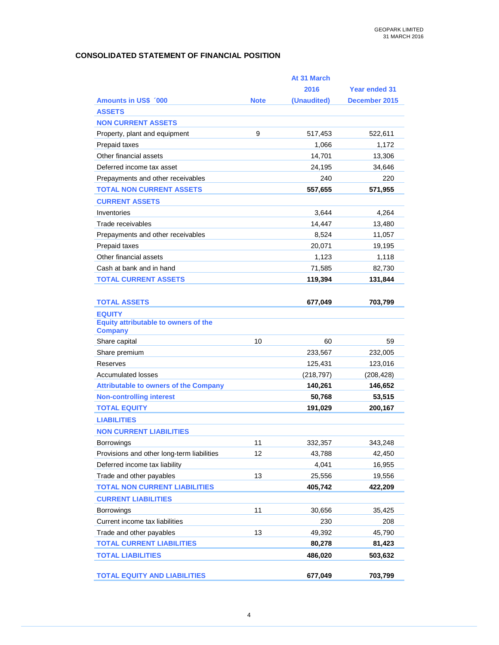# **CONSOLIDATED STATEMENT OF FINANCIAL POSITION**

|                                                        |             | At 31 March |               |
|--------------------------------------------------------|-------------|-------------|---------------|
|                                                        |             | 2016        | Year ended 31 |
| <b>Amounts in US\$ '000</b>                            | <b>Note</b> | (Unaudited) | December 2015 |
| <b>ASSETS</b>                                          |             |             |               |
| <b>NON CURRENT ASSETS</b>                              |             |             |               |
| Property, plant and equipment                          | 9           | 517,453     | 522,611       |
| Prepaid taxes                                          |             | 1,066       | 1,172         |
| Other financial assets                                 |             | 14,701      | 13,306        |
| Deferred income tax asset                              |             | 24,195      | 34,646        |
| Prepayments and other receivables                      |             | 240         | 220           |
| <b>TOTAL NON CURRENT ASSETS</b>                        |             | 557,655     | 571,955       |
| <b>CURRENT ASSETS</b>                                  |             |             |               |
| Inventories                                            |             | 3,644       | 4,264         |
| Trade receivables                                      |             | 14,447      | 13,480        |
| Prepayments and other receivables                      |             | 8,524       | 11,057        |
| Prepaid taxes                                          |             | 20,071      | 19,195        |
| Other financial assets                                 |             | 1,123       | 1,118         |
| Cash at bank and in hand                               |             | 71,585      | 82,730        |
| <b>TOTAL CURRENT ASSETS</b>                            |             | 119,394     | 131,844       |
|                                                        |             |             |               |
| <b>TOTAL ASSETS</b>                                    |             | 677,049     | 703,799       |
| <b>EQUITY</b>                                          |             |             |               |
| Equity attributable to owners of the<br><b>Company</b> |             |             |               |
| Share capital                                          | 10          | 60          | 59            |
| Share premium                                          |             | 233,567     | 232,005       |
| Reserves                                               |             | 125,431     | 123,016       |
| <b>Accumulated losses</b>                              |             | (218, 797)  | (208, 428)    |
| <b>Attributable to owners of the Company</b>           |             | 140,261     | 146,652       |
| <b>Non-controlling interest</b>                        |             | 50,768      | 53,515        |
| <b>TOTAL EQUITY</b>                                    |             | 191,029     | 200,167       |
| <b>LIABILITIES</b>                                     |             |             |               |
| <b>NON CURRENT LIABILITIES</b>                         |             |             |               |
| Borrowings                                             | 11          | 332,357     | 343,248       |
| Provisions and other long-term liabilities             | 12          | 43,788      | 42,450        |
| Deferred income tax liability                          |             | 4,041       | 16,955        |
| Trade and other payables                               | 13          | 25,556      | 19,556        |
| <b>TOTAL NON CURRENT LIABILITIES</b>                   |             | 405,742     | 422,209       |
| <b>CURRENT LIABILITIES</b>                             |             |             |               |
| <b>Borrowings</b>                                      | 11          | 30,656      | 35,425        |
| Current income tax liabilities                         |             | 230         | 208           |
| Trade and other payables                               | 13          | 49,392      | 45,790        |
| <b>TOTAL CURRENT LIABILITIES</b>                       |             | 80,278      | 81,423        |
| <b>TOTAL LIABILITIES</b>                               |             | 486,020     | 503,632       |
|                                                        |             |             |               |
| <b>TOTAL EQUITY AND LIABILITIES</b>                    |             | 677,049     | 703,799       |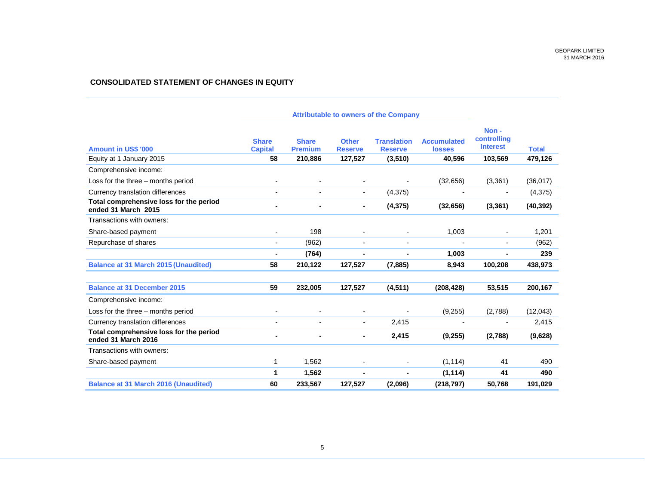### **CONSOLIDATED STATEMENT OF CHANGES IN EQUITY**

| <b>Amount in US\$ '000</b>                                     | <b>Share</b><br><b>Capital</b> | <b>Share</b><br><b>Premium</b> | <b>Other</b><br><b>Reserve</b> | <b>Translation</b><br><b>Reserve</b> | <b>Accumulated</b><br><b>losses</b> | Non-<br>controlling<br><b>Interest</b> | <b>Total</b> |
|----------------------------------------------------------------|--------------------------------|--------------------------------|--------------------------------|--------------------------------------|-------------------------------------|----------------------------------------|--------------|
| Equity at 1 January 2015                                       | 58                             | 210,886                        | 127,527                        | (3,510)                              | 40,596                              | 103,569                                | 479,126      |
| Comprehensive income:                                          |                                |                                |                                |                                      |                                     |                                        |              |
| Loss for the three - months period                             |                                |                                |                                |                                      | (32, 656)                           | (3,361)                                | (36, 017)    |
| Currency translation differences                               | $\blacksquare$                 |                                | $\sim$                         | (4,375)                              |                                     |                                        | (4, 375)     |
| Total comprehensive loss for the period<br>ended 31 March 2015 |                                |                                |                                | (4, 375)                             | (32, 656)                           | (3,361)                                | (40, 392)    |
| Transactions with owners:                                      |                                |                                |                                |                                      |                                     |                                        |              |
| Share-based payment                                            |                                | 198                            |                                |                                      | 1,003                               |                                        | 1,201        |
| Repurchase of shares                                           | $\blacksquare$                 | (962)                          |                                |                                      |                                     | $\blacksquare$                         | (962)        |
|                                                                | ٠                              | (764)                          |                                |                                      | 1,003                               |                                        | 239          |
| <b>Balance at 31 March 2015 (Unaudited)</b>                    | 58                             | 210,122                        | 127,527                        | (7, 885)                             | 8,943                               | 100,208                                | 438,973      |
| <b>Balance at 31 December 2015</b>                             | 59                             | 232,005                        | 127,527                        | (4, 511)                             | (208, 428)                          | 53,515                                 | 200,167      |
| Comprehensive income:                                          |                                |                                |                                |                                      |                                     |                                        |              |
| Loss for the three – months period                             |                                |                                |                                |                                      | (9,255)                             | (2,788)                                | (12,043)     |
| Currency translation differences                               |                                |                                | $\sim$                         | 2,415                                |                                     |                                        | 2,415        |
| Total comprehensive loss for the period<br>ended 31 March 2016 |                                |                                | ۰                              | 2,415                                | (9,255)                             | (2,788)                                | (9,628)      |
| Transactions with owners:                                      |                                |                                |                                |                                      |                                     |                                        |              |
| Share-based payment                                            | 1                              | 1,562                          |                                |                                      | (1, 114)                            | 41                                     | 490          |
|                                                                | 1                              | 1,562                          | ۰                              |                                      | (1, 114)                            | 41                                     | 490          |
| <b>Balance at 31 March 2016 (Unaudited)</b>                    | 60                             | 233,567                        | 127,527                        | (2,096)                              | (218, 797)                          | 50,768                                 | 191,029      |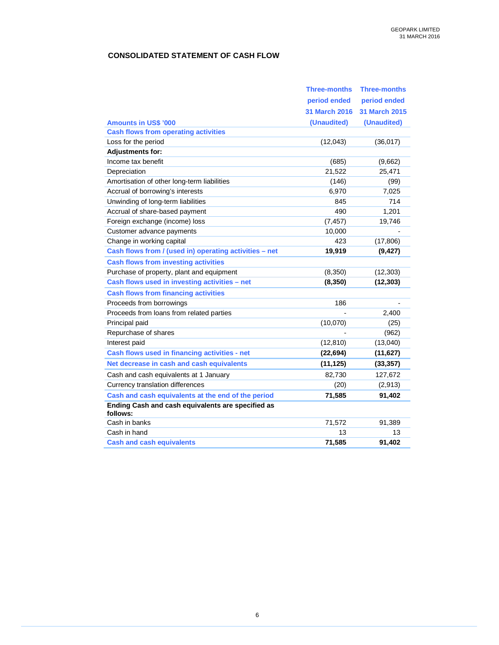# **CONSOLIDATED STATEMENT OF CASH FLOW**

|                                                               | <b>Three-months</b>  | <b>Three-months</b>  |
|---------------------------------------------------------------|----------------------|----------------------|
|                                                               | period ended         | period ended         |
|                                                               | <b>31 March 2016</b> | <b>31 March 2015</b> |
| <b>Amounts in US\$ '000</b>                                   | (Unaudited)          | (Unaudited)          |
| <b>Cash flows from operating activities</b>                   |                      |                      |
| Loss for the period                                           | (12,043)             | (36, 017)            |
| <b>Adjustments for:</b>                                       |                      |                      |
| Income tax benefit                                            | (685)                | (9,662)              |
| Depreciation                                                  | 21,522               | 25,471               |
| Amortisation of other long-term liabilities                   | (146)                | (99)                 |
| Accrual of borrowing's interests                              | 6,970                | 7,025                |
| Unwinding of long-term liabilities                            | 845                  | 714                  |
| Accrual of share-based payment                                | 490                  | 1,201                |
| Foreign exchange (income) loss                                | (7, 457)             | 19,746               |
| Customer advance payments                                     | 10,000               |                      |
| Change in working capital                                     | 423                  | (17,806)             |
| Cash flows from / (used in) operating activities - net        | 19,919               | (9, 427)             |
| <b>Cash flows from investing activities</b>                   |                      |                      |
| Purchase of property, plant and equipment                     | (8, 350)             | (12, 303)            |
| Cash flows used in investing activities - net                 | (8, 350)             | (12, 303)            |
| <b>Cash flows from financing activities</b>                   |                      |                      |
| Proceeds from borrowings                                      | 186                  |                      |
| Proceeds from loans from related parties                      |                      | 2,400                |
| Principal paid                                                | (10,070)             | (25)                 |
| Repurchase of shares                                          |                      | (962)                |
| Interest paid                                                 | (12, 810)            | (13,040)             |
| Cash flows used in financing activities - net                 | (22, 694)            | (11, 627)            |
| Net decrease in cash and cash equivalents                     | (11, 125)            | (33, 357)            |
| Cash and cash equivalents at 1 January                        | 82,730               | 127,672              |
| Currency translation differences                              | (20)                 | (2,913)              |
| Cash and cash equivalents at the end of the period            | 71,585               | 91,402               |
| Ending Cash and cash equivalents are specified as<br>follows: |                      |                      |
| Cash in banks                                                 | 71,572               | 91,389               |
| Cash in hand                                                  | 13                   | 13                   |
| <b>Cash and cash equivalents</b>                              | 71,585               | 91,402               |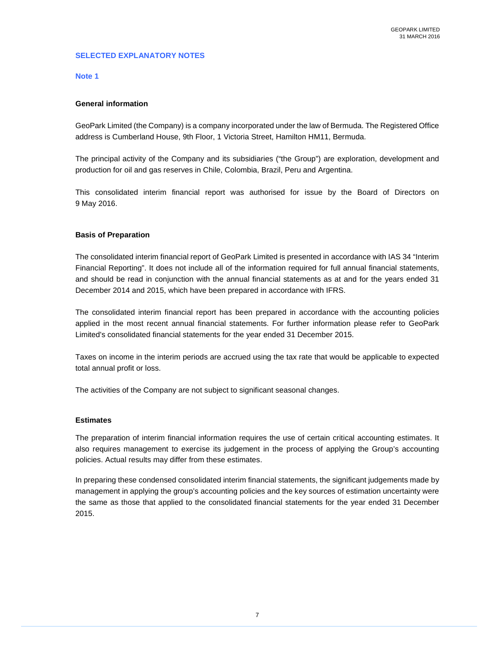# **SELECTED EXPLANATORY NOTES**

### **Note 1**

### **General information**

GeoPark Limited (the Company) is a company incorporated under the law of Bermuda. The Registered Office address is Cumberland House, 9th Floor, 1 Victoria Street, Hamilton HM11, Bermuda.

The principal activity of the Company and its subsidiaries ("the Group") are exploration, development and production for oil and gas reserves in Chile, Colombia, Brazil, Peru and Argentina.

This consolidated interim financial report was authorised for issue by the Board of Directors on 9 May 2016.

### **Basis of Preparation**

The consolidated interim financial report of GeoPark Limited is presented in accordance with IAS 34 "Interim Financial Reporting". It does not include all of the information required for full annual financial statements, and should be read in conjunction with the annual financial statements as at and for the years ended 31 December 2014 and 2015, which have been prepared in accordance with IFRS.

The consolidated interim financial report has been prepared in accordance with the accounting policies applied in the most recent annual financial statements. For further information please refer to GeoPark Limited's consolidated financial statements for the year ended 31 December 2015.

Taxes on income in the interim periods are accrued using the tax rate that would be applicable to expected total annual profit or loss.

The activities of the Company are not subject to significant seasonal changes.

#### **Estimates**

The preparation of interim financial information requires the use of certain critical accounting estimates. It also requires management to exercise its judgement in the process of applying the Group's accounting policies. Actual results may differ from these estimates.

In preparing these condensed consolidated interim financial statements, the significant judgements made by management in applying the group's accounting policies and the key sources of estimation uncertainty were the same as those that applied to the consolidated financial statements for the year ended 31 December 2015.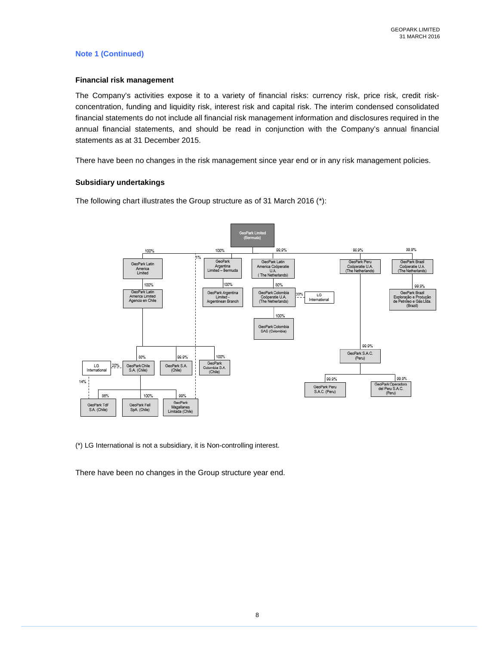### **Note 1 (Continued)**

### **Financial risk management**

The Company's activities expose it to a variety of financial risks: currency risk, price risk, credit riskconcentration, funding and liquidity risk, interest risk and capital risk. The interim condensed consolidated financial statements do not include all financial risk management information and disclosures required in the annual financial statements, and should be read in conjunction with the Company's annual financial statements as at 31 December 2015.

There have been no changes in the risk management since year end or in any risk management policies.

### **Subsidiary undertakings**

The following chart illustrates the Group structure as of 31 March 2016 (\*):



(\*) LG International is not a subsidiary, it is Non-controlling interest.

There have been no changes in the Group structure year end.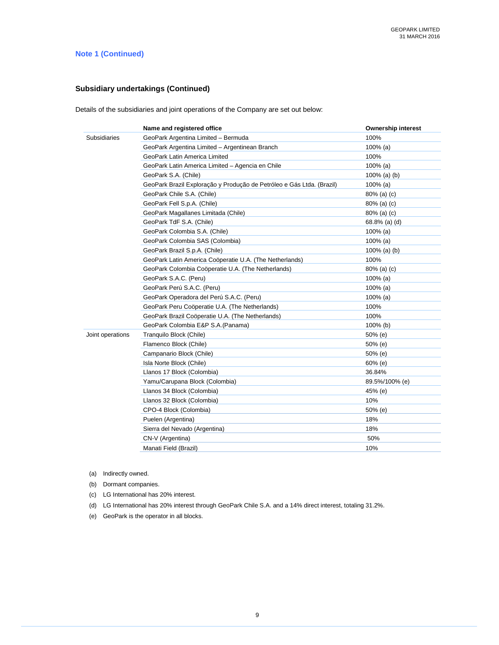# **Note 1 (Continued)**

### **Subsidiary undertakings (Continued)**

Details of the subsidiaries and joint operations of the Company are set out below:

|                  | Name and registered office                                            | <b>Ownership interest</b> |
|------------------|-----------------------------------------------------------------------|---------------------------|
| Subsidiaries     | GeoPark Argentina Limited - Bermuda                                   | 100%                      |
|                  | GeoPark Argentina Limited - Argentinean Branch                        | 100% (a)                  |
|                  | GeoPark Latin America Limited                                         | 100%                      |
|                  | GeoPark Latin America Limited - Agencia en Chile                      | $100\%$ (a)               |
|                  | GeoPark S.A. (Chile)                                                  | 100% (a) (b)              |
|                  | GeoPark Brazil Exploração y Produção de Petróleo e Gás Ltda. (Brazil) | 100% (a)                  |
|                  | GeoPark Chile S.A. (Chile)                                            | 80% (a) (c)               |
|                  | GeoPark Fell S.p.A. (Chile)                                           | $80\%$ (a) (c)            |
|                  | GeoPark Magallanes Limitada (Chile)                                   | $80\%$ (a) (c)            |
|                  | GeoPark TdF S.A. (Chile)                                              | 68.8% (a) (d)             |
|                  | GeoPark Colombia S.A. (Chile)                                         | $100\%$ (a)               |
|                  | GeoPark Colombia SAS (Colombia)                                       | $100\%$ (a)               |
|                  | GeoPark Brazil S.p.A. (Chile)                                         | $100\%$ (a) (b)           |
|                  | GeoPark Latin America Coöperatie U.A. (The Netherlands)               | 100%                      |
|                  | GeoPark Colombia Coöperatie U.A. (The Netherlands)                    | $80\%$ (a) (c)            |
|                  | GeoPark S.A.C. (Peru)                                                 | $100\%$ (a)               |
|                  | GeoPark Perú S.A.C. (Peru)                                            | 100% (a)                  |
|                  | GeoPark Operadora del Perú S.A.C. (Peru)                              | 100% (a)                  |
|                  | GeoPark Peru Coöperatie U.A. (The Netherlands)                        | 100%                      |
|                  | GeoPark Brazil Coöperatie U.A. (The Netherlands)                      | 100%                      |
|                  | GeoPark Colombia E&P S.A.(Panama)                                     | 100% (b)                  |
| Joint operations | Tranquilo Block (Chile)                                               | $50\%$ (e)                |
|                  | Flamenco Block (Chile)                                                | 50% (e)                   |
|                  | Campanario Block (Chile)                                              | 50% (e)                   |
|                  | Isla Norte Block (Chile)                                              | 60% (e)                   |
|                  | Llanos 17 Block (Colombia)                                            | 36.84%                    |
|                  | Yamu/Carupana Block (Colombia)                                        | 89.5%/100% (e)            |
|                  | Llanos 34 Block (Colombia)                                            | 45% (e)                   |
|                  | Llanos 32 Block (Colombia)                                            | 10%                       |
|                  | CPO-4 Block (Colombia)                                                | 50% (e)                   |
|                  | Puelen (Argentina)                                                    | 18%                       |
|                  | Sierra del Nevado (Argentina)                                         | 18%                       |
|                  | CN-V (Argentina)                                                      | 50%                       |
|                  | Manati Field (Brazil)                                                 | 10%                       |
|                  |                                                                       |                           |

(a) Indirectly owned.

(b) Dormant companies.

- (c) LG International has 20% interest.
- (d) LG International has 20% interest through GeoPark Chile S.A. and a 14% direct interest, totaling 31.2%.
- (e) GeoPark is the operator in all blocks.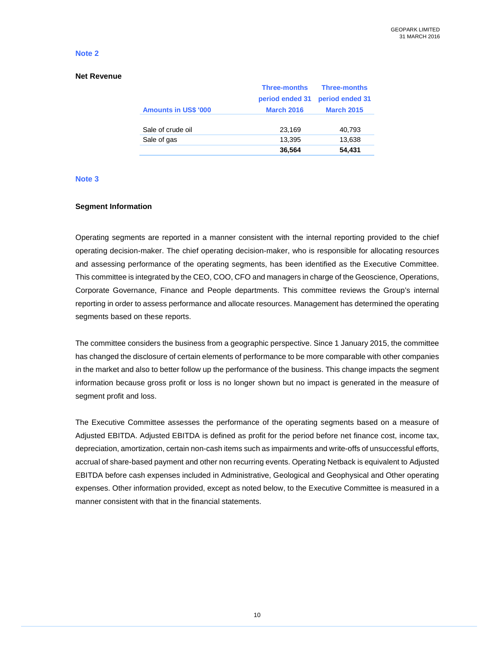# **Net Revenue**

| <b>Three-months</b> | <b>Three-months</b> |
|---------------------|---------------------|
| period ended 31     | period ended 31     |
| <b>March 2016</b>   | <b>March 2015</b>   |
|                     |                     |
| 23,169              | 40,793              |
| 13,395              | 13,638              |
| 36,564              | 54,431              |
|                     |                     |

### **Note 3**

#### **Segment Information**

Operating segments are reported in a manner consistent with the internal reporting provided to the chief operating decision-maker. The chief operating decision-maker, who is responsible for allocating resources and assessing performance of the operating segments, has been identified as the Executive Committee. This committee is integrated by the CEO, COO, CFO and managers in charge of the Geoscience, Operations, Corporate Governance, Finance and People departments. This committee reviews the Group's internal reporting in order to assess performance and allocate resources. Management has determined the operating segments based on these reports.

The committee considers the business from a geographic perspective. Since 1 January 2015, the committee has changed the disclosure of certain elements of performance to be more comparable with other companies in the market and also to better follow up the performance of the business. This change impacts the segment information because gross profit or loss is no longer shown but no impact is generated in the measure of segment profit and loss.

The Executive Committee assesses the performance of the operating segments based on a measure of Adjusted EBITDA. Adjusted EBITDA is defined as profit for the period before net finance cost, income tax, depreciation, amortization, certain non-cash items such as impairments and write-offs of unsuccessful efforts, accrual of share-based payment and other non recurring events. Operating Netback is equivalent to Adjusted EBITDA before cash expenses included in Administrative, Geological and Geophysical and Other operating expenses. Other information provided, except as noted below, to the Executive Committee is measured in a manner consistent with that in the financial statements.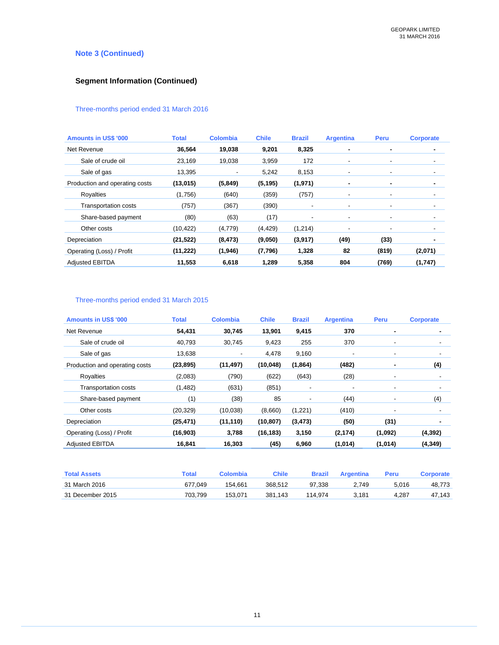# **Note 3 (Continued)**

# **Segment Information (Continued)**

# Three-months period ended 31 March 2016

| <b>Amounts in US\$ '000</b>    | <b>Total</b> | <b>Colombia</b>          | <b>Chile</b> | <b>Brazil</b>            | <b>Argentina</b>         | Peru                     | <b>Corporate</b> |
|--------------------------------|--------------|--------------------------|--------------|--------------------------|--------------------------|--------------------------|------------------|
| Net Revenue                    | 36,564       | 19,038                   | 9,201        | 8,325                    | ۰                        | ٠                        |                  |
| Sale of crude oil              | 23,169       | 19,038                   | 3,959        | 172                      | ۰                        | ٠                        |                  |
| Sale of gas                    | 13,395       | $\overline{\phantom{a}}$ | 5,242        | 8,153                    | $\overline{\phantom{a}}$ | ٠                        |                  |
| Production and operating costs | (13,015)     | (5, 849)                 | (5, 195)     | (1, 971)                 | ۰                        | ۰                        |                  |
| Royalties                      | (1,756)      | (640)                    | (359)        | (757)                    | -                        | $\overline{\phantom{a}}$ |                  |
| <b>Transportation costs</b>    | (757)        | (367)                    | (390)        | $\overline{\phantom{a}}$ | ۰                        | $\overline{\phantom{a}}$ |                  |
| Share-based payment            | (80)         | (63)                     | (17)         | $\overline{\phantom{a}}$ | -                        | $\overline{\phantom{a}}$ |                  |
| Other costs                    | (10, 422)    | (4,779)                  | (4, 429)     | (1,214)                  | ٠                        | $\overline{\phantom{a}}$ |                  |
| Depreciation                   | (21, 522)    | (8, 473)                 | (9,050)      | (3, 917)                 | (49)                     | (33)                     |                  |
| Operating (Loss) / Profit      | (11, 222)    | (1, 946)                 | (7,796)      | 1,328                    | 82                       | (819)                    | (2,071)          |
| <b>Adjusted EBITDA</b>         | 11,553       | 6,618                    | 1,289        | 5,358                    | 804                      | (769)                    | (1,747)          |

# Three-months period ended 31 March 2015

| <b>Amounts in US\$ '000</b>    | Total     | <b>Colombia</b>          | <b>Chile</b> | <b>Brazil</b> | <b>Argentina</b>         | Peru    | <b>Corporate</b>         |
|--------------------------------|-----------|--------------------------|--------------|---------------|--------------------------|---------|--------------------------|
| Net Revenue                    | 54,431    | 30,745                   | 13,901       | 9,415         | 370                      | ۰       |                          |
| Sale of crude oil              | 40,793    | 30,745                   | 9,423        | 255           | 370                      | ٠       |                          |
| Sale of gas                    | 13,638    | $\overline{\phantom{a}}$ | 4,478        | 9,160         | $\overline{\phantom{a}}$ | ٠       | $\overline{\phantom{a}}$ |
| Production and operating costs | (23, 895) | (11, 497)                | (10, 048)    | (1, 864)      | (482)                    |         | (4)                      |
| Royalties                      | (2,083)   | (790)                    | (622)        | (643)         | (28)                     | ٠       |                          |
| <b>Transportation costs</b>    | (1, 482)  | (631)                    | (851)        |               | ٠                        | ٠       |                          |
| Share-based payment            | (1)       | (38)                     | 85           | ٠             | (44)                     | ٠       | (4)                      |
| Other costs                    | (20, 329) | (10,038)                 | (8,660)      | (1,221)       | (410)                    |         |                          |
| Depreciation                   | (25, 471) | (11, 110)                | (10, 807)    | (3, 473)      | (50)                     | (31)    |                          |
| Operating (Loss) / Profit      | (16,903)  | 3,788                    | (16, 183)    | 3,150         | (2, 174)                 | (1,092) | (4, 392)                 |
| <b>Adjusted EBITDA</b>         | 16,841    | 16,303                   | (45)         | 6,960         | (1,014)                  | (1,014) | (4, 349)                 |

| <b>Total Assets</b> | Гоtal   | Colombia | Chile   | Brazil  | Araentina | Peru  | Corporate |
|---------------------|---------|----------|---------|---------|-----------|-------|-----------|
| 31 March 2016       | 677.049 | 154.661  | 368.512 | 97.338  | 2.749     | 5.016 | 48.773    |
| 31 December 2015    | 703.799 | 153.071  | 381.143 | 114.974 | 3.181     | 4.287 | 47.143    |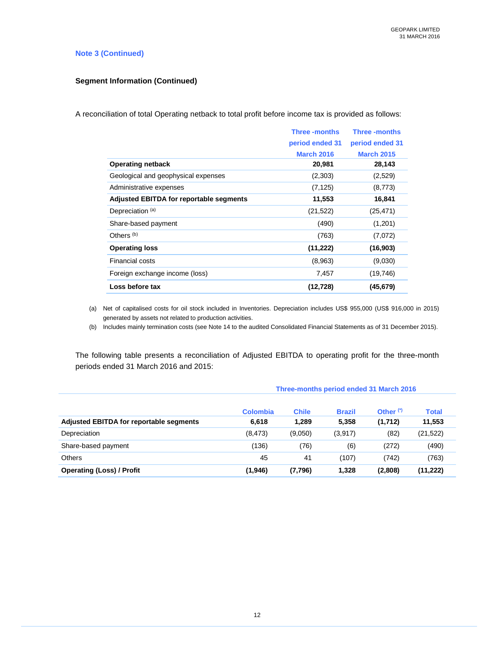### **Note 3 (Continued)**

# **Segment Information (Continued)**

A reconciliation of total Operating netback to total profit before income tax is provided as follows:

|                                                | <b>Three-months</b> | <b>Three-months</b> |
|------------------------------------------------|---------------------|---------------------|
|                                                | period ended 31     | period ended 31     |
|                                                | <b>March 2016</b>   | <b>March 2015</b>   |
| <b>Operating netback</b>                       | 20,981              | 28,143              |
| Geological and geophysical expenses            | (2,303)             | (2,529)             |
| Administrative expenses                        | (7, 125)            | (8,773)             |
| <b>Adjusted EBITDA for reportable segments</b> | 11,553              | 16,841              |
| Depreciation <sup>(a)</sup>                    | (21, 522)           | (25, 471)           |
| Share-based payment                            | (490)               | (1,201)             |
| Others <sup>(b)</sup>                          | (763)               | (7,072)             |
| <b>Operating loss</b>                          | (11, 222)           | (16,903)            |
| <b>Financial costs</b>                         | (8,963)             | (9,030)             |
| Foreign exchange income (loss)                 | 7,457               | (19, 746)           |
| Loss before tax                                | (12,728)            | (45,679)            |

(a) Net of capitalised costs for oil stock included in Inventories. Depreciation includes US\$ 955,000 (US\$ 916,000 in 2015) generated by assets not related to production activities.

(b) Includes mainly termination costs (see Note 14 to the audited Consolidated Financial Statements as of 31 December 2015).

The following table presents a reconciliation of Adjusted EBITDA to operating profit for the three-month periods ended 31 March 2016 and 2015:

|                                         | Three-months period ended 31 March 2016 |              |               |             |              |  |  |
|-----------------------------------------|-----------------------------------------|--------------|---------------|-------------|--------------|--|--|
|                                         | <b>Colombia</b>                         | <b>Chile</b> | <b>Brazil</b> | Other $(')$ | <b>Total</b> |  |  |
| Adjusted EBITDA for reportable segments | 6,618                                   | 1,289        | 5,358         | (1,712)     | 11,553       |  |  |
| Depreciation                            | (8, 473)                                | (9,050)      | (3,917)       | (82)        | (21, 522)    |  |  |
| Share-based payment                     | (136)                                   | (76)         | (6)           | (272)       | (490)        |  |  |
| <b>Others</b>                           | 45                                      | 41           | (107)         | (742)       | (763)        |  |  |
| <b>Operating (Loss) / Profit</b>        | (1,946)                                 | (7,796)      | 1,328         | (2,808)     | (11, 222)    |  |  |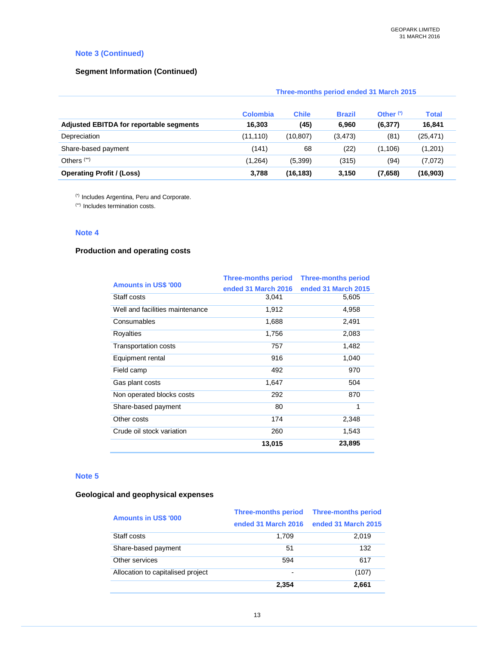# **Note 3 (Continued)**

### **Segment Information (Continued)**

|                                         | Three-months period ended 31 March 2015 |              |               |             |              |
|-----------------------------------------|-----------------------------------------|--------------|---------------|-------------|--------------|
|                                         | <b>Colombia</b>                         | <b>Chile</b> | <b>Brazil</b> | Other $(7)$ | <b>Total</b> |
| Adjusted EBITDA for reportable segments | 16,303                                  | (45)         | 6,960         | (6, 377)    | 16,841       |
| Depreciation                            | (11, 110)                               | (10, 807)    | (3, 473)      | (81)        | (25, 471)    |
| Share-based payment                     | (141)                                   | 68           | (22)          | (1, 106)    | (1,201)      |
| Others $(*)$                            | (1,264)                                 | (5, 399)     | (315)         | (94)        | (7,072)      |
| <b>Operating Profit / (Loss)</b>        | 3,788                                   | (16, 183)    | 3,150         | (7,658)     | (16, 903)    |

(\*) Includes Argentina, Peru and Corporate.

(\*\*) Includes termination costs.

## **Note 4**

# **Production and operating costs**

|                                 | <b>Three-months period</b> | <b>Three-months period</b> |
|---------------------------------|----------------------------|----------------------------|
| <b>Amounts in US\$ '000</b>     | ended 31 March 2016        | ended 31 March 2015        |
| Staff costs                     | 3,041                      | 5,605                      |
| Well and facilities maintenance | 1,912                      | 4,958                      |
| Consumables                     | 1,688                      | 2,491                      |
| Royalties                       | 1,756                      | 2,083                      |
| <b>Transportation costs</b>     | 757                        | 1,482                      |
| Equipment rental                | 916                        | 1,040                      |
| Field camp                      | 492                        | 970                        |
| Gas plant costs                 | 1,647                      | 504                        |
| Non operated blocks costs       | 292                        | 870                        |
| Share-based payment             | 80                         | 1                          |
| Other costs                     | 174                        | 2,348                      |
| Crude oil stock variation       | 260                        | 1,543                      |
|                                 | 13,015                     | 23,895                     |

### **Note 5**

# **Geological and geophysical expenses**

| <b>Amounts in US\$ '000</b>       | <b>Three-months period</b><br>ended 31 March 2016 | <b>Three-months period</b><br>ended 31 March 2015 |
|-----------------------------------|---------------------------------------------------|---------------------------------------------------|
| Staff costs                       | 1.709                                             | 2,019                                             |
| Share-based payment               | 51                                                | 132                                               |
| Other services                    | 594                                               | 617                                               |
| Allocation to capitalised project | $\blacksquare$                                    | (107)                                             |
|                                   | 2.354                                             | 2.661                                             |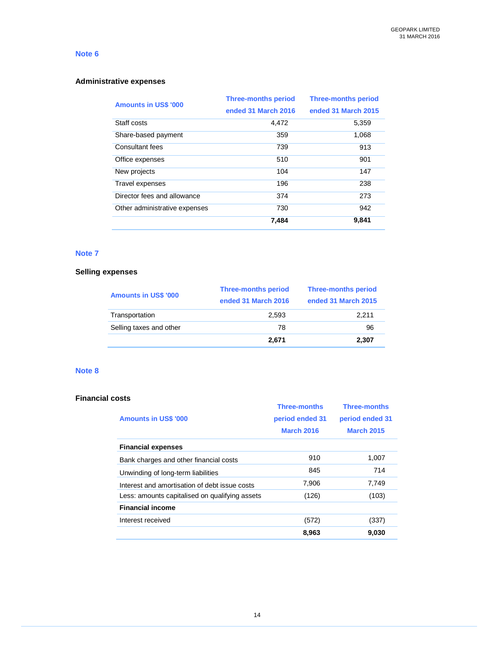# **Administrative expenses**

| <b>Amounts in US\$ '000</b>   | <b>Three-months period</b> | <b>Three-months period</b> |
|-------------------------------|----------------------------|----------------------------|
|                               | ended 31 March 2016        | ended 31 March 2015        |
| Staff costs                   | 4.472                      | 5,359                      |
| Share-based payment           | 359                        | 1,068                      |
| Consultant fees               | 739                        | 913                        |
| Office expenses               | 510                        | 901                        |
| New projects                  | 104                        | 147                        |
| Travel expenses               | 196                        | 238                        |
| Director fees and allowance   | 374                        | 273                        |
| Other administrative expenses | 730                        | 942                        |
|                               | 7,484                      | 9,841                      |

# **Note 7**

# **Selling expenses**

| <b>Amounts in US\$ '000</b> | <b>Three-months period</b> | <b>Three-months period</b> |
|-----------------------------|----------------------------|----------------------------|
|                             | ended 31 March 2016        | ended 31 March 2015        |
| Transportation              | 2.593                      | 2.211                      |
| Selling taxes and other     | 78                         | 96                         |
|                             | 2.671                      | 2.307                      |

# **Note 8**

### **Financial costs**

|                                                | <b>Three-months</b> | <b>Three-months</b> |
|------------------------------------------------|---------------------|---------------------|
| <b>Amounts in US\$ '000</b>                    | period ended 31     | period ended 31     |
|                                                | <b>March 2016</b>   | <b>March 2015</b>   |
| <b>Financial expenses</b>                      |                     |                     |
| Bank charges and other financial costs         | 910                 | 1,007               |
| Unwinding of long-term liabilities             | 845                 | 714                 |
| Interest and amortisation of debt issue costs  | 7,906               | 7,749               |
| Less: amounts capitalised on qualifying assets | (126)               | (103)               |
| <b>Financial income</b>                        |                     |                     |
| Interest received                              | (572)               | (337)               |
|                                                | 8,963               | 9,030               |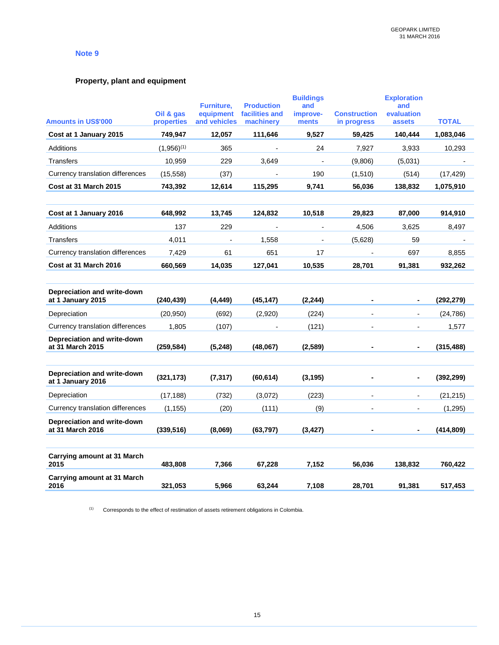# **Property, plant and equipment**

|                                                      |                       | <b>Furniture.</b>        | <b>Production</b>    | <b>Buildings</b><br>and  |                       | <b>Exploration</b><br>and |                          |
|------------------------------------------------------|-----------------------|--------------------------|----------------------|--------------------------|-----------------------|---------------------------|--------------------------|
|                                                      | Oil & gas             | equipment                | facilities and       | improve-                 | <b>Construction</b>   | evaluation                | <b>TOTAL</b>             |
| <b>Amounts in US\$'000</b><br>Cost at 1 January 2015 | properties<br>749,947 | and vehicles<br>12,057   | machinery<br>111,646 | ments<br>9,527           | in progress<br>59,425 | assets<br>140,444         | 1,083,046                |
|                                                      |                       |                          |                      |                          |                       |                           |                          |
| Additions                                            | $(1,956)^{(1)}$       | 365                      | $\blacksquare$       | 24                       | 7,927                 | 3,933                     | 10,293                   |
| <b>Transfers</b>                                     | 10,959                | 229                      | 3.649                | $\overline{\phantom{a}}$ | (9,806)               | (5,031)                   | $\overline{\phantom{a}}$ |
| Currency translation differences                     | (15, 558)             | (37)                     |                      | 190                      | (1,510)               | (514)                     | (17, 429)                |
| Cost at 31 March 2015                                | 743,392               | 12,614                   | 115,295              | 9,741                    | 56,036                | 138,832                   | 1,075,910                |
| Cost at 1 January 2016                               | 648,992               | 13,745                   | 124,832              | 10,518                   | 29,823                | 87,000                    | 914,910                  |
| <b>Additions</b>                                     | 137                   | 229                      |                      |                          | 4,506                 | 3,625                     | 8,497                    |
| <b>Transfers</b>                                     | 4,011                 | $\overline{\phantom{a}}$ | 1,558                | $\overline{\phantom{a}}$ | (5,628)               | 59                        |                          |
| Currency translation differences                     | 7,429                 | 61                       | 651                  | 17                       |                       | 697                       | 8,855                    |
| Cost at 31 March 2016                                | 660,569               | 14,035                   | 127,041              | 10,535                   | 28,701                | 91,381                    | 932,262                  |
|                                                      |                       |                          |                      |                          |                       |                           |                          |
| Depreciation and write-down<br>at 1 January 2015     | (240, 439)            | (4, 449)                 | (45, 147)            | (2, 244)                 |                       |                           | (292, 279)               |
| Depreciation                                         | (20, 950)             | (692)                    | (2,920)              | (224)                    |                       | $\blacksquare$            | (24, 786)                |
| Currency translation differences                     | 1,805                 | (107)                    |                      | (121)                    |                       |                           | 1,577                    |
| Depreciation and write-down<br>at 31 March 2015      | (259, 584)            | (5, 248)                 | (48,067)             | (2,589)                  |                       |                           | (315, 488)               |
|                                                      |                       |                          |                      |                          |                       |                           |                          |
| Depreciation and write-down<br>at 1 January 2016     | (321, 173)            | (7, 317)                 | (60, 614)            | (3, 195)                 |                       |                           | (392, 299)               |
| Depreciation                                         | (17, 188)             | (732)                    | (3,072)              | (223)                    |                       | $\blacksquare$            | (21, 215)                |
| Currency translation differences                     | (1, 155)              | (20)                     | (111)                | (9)                      |                       | $\blacksquare$            | (1, 295)                 |
| Depreciation and write-down<br>at 31 March 2016      | (339, 516)            | (8,069)                  | (63, 797)            | (3, 427)                 |                       |                           | (414, 809)               |
|                                                      |                       |                          |                      |                          |                       |                           |                          |
| Carrying amount at 31 March<br>2015                  | 483,808               | 7,366                    | 67,228               | 7,152                    | 56,036                | 138,832                   | 760,422                  |
| Carrying amount at 31 March<br>2016                  | 321,053               | 5,966                    | 63,244               | 7,108                    | 28,701                | 91,381                    | 517,453                  |

(1) Corresponds to the effect of restimation of assets retirement obligations in Colombia.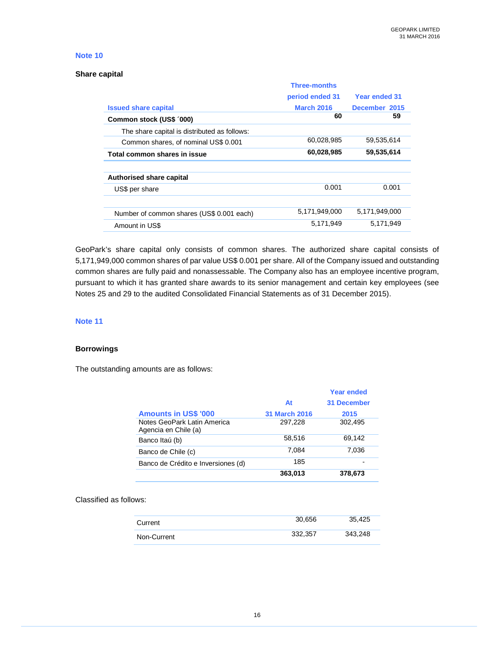### **Share capital**

|                                              | <b>Three-months</b> |                      |
|----------------------------------------------|---------------------|----------------------|
|                                              | period ended 31     | <b>Year ended 31</b> |
| <b>Issued share capital</b>                  | <b>March 2016</b>   | December 2015        |
| Common stock (US\$ '000)                     | 60                  | 59                   |
| The share capital is distributed as follows: |                     |                      |
| Common shares, of nominal US\$ 0.001         | 60,028,985          | 59,535,614           |
| Total common shares in issue                 | 60,028,985          | 59,535,614           |
|                                              |                     |                      |
| Authorised share capital                     |                     |                      |
| US\$ per share                               | 0.001               | 0.001                |
|                                              |                     |                      |
| Number of common shares (US\$ 0.001 each)    | 5,171,949,000       | 5.171.949.000        |
| Amount in US\$                               | 5,171,949           | 5,171,949            |

GeoPark's share capital only consists of common shares. The authorized share capital consists of 5,171,949,000 common shares of par value US\$ 0.001 per share. All of the Company issued and outstanding common shares are fully paid and nonassessable. The Company also has an employee incentive program, pursuant to which it has granted share awards to its senior management and certain key employees (see Notes 25 and 29 to the audited Consolidated Financial Statements as of 31 December 2015).

#### **Note 11**

# **Borrowings**

The outstanding amounts are as follows:

|                                                     |                      | <b>Year ended</b>  |
|-----------------------------------------------------|----------------------|--------------------|
|                                                     | At                   | <b>31 December</b> |
| <b>Amounts in US\$ '000</b>                         | <b>31 March 2016</b> | 2015               |
| Notes GeoPark Latin America<br>Agencia en Chile (a) | 297,228              | 302,495            |
| Banco Itaú (b)                                      | 58.516               | 69.142             |
| Banco de Chile (c)                                  | 7.084                | 7,036              |
| Banco de Crédito e Inversiones (d)                  | 185                  |                    |
|                                                     | 363,013              | 378,673            |

#### Classified as follows:

| Current     | 30.656  | 35.425  |
|-------------|---------|---------|
| Non-Current | 332,357 | 343,248 |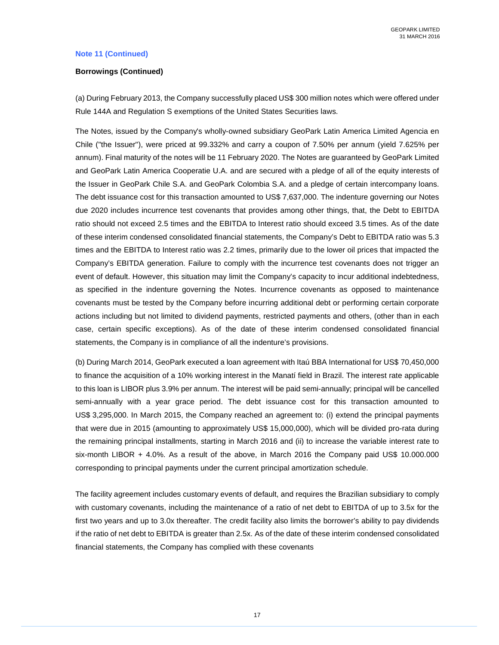#### **Note 11 (Continued)**

#### **Borrowings (Continued)**

(a) During February 2013, the Company successfully placed US\$ 300 million notes which were offered under Rule 144A and Regulation S exemptions of the United States Securities laws.

The Notes, issued by the Company's wholly-owned subsidiary GeoPark Latin America Limited Agencia en Chile ("the Issuer"), were priced at 99.332% and carry a coupon of 7.50% per annum (yield 7.625% per annum). Final maturity of the notes will be 11 February 2020. The Notes are guaranteed by GeoPark Limited and GeoPark Latin America Cooperatie U.A. and are secured with a pledge of all of the equity interests of the Issuer in GeoPark Chile S.A. and GeoPark Colombia S.A. and a pledge of certain intercompany loans. The debt issuance cost for this transaction amounted to US\$ 7,637,000. The indenture governing our Notes due 2020 includes incurrence test covenants that provides among other things, that, the Debt to EBITDA ratio should not exceed 2.5 times and the EBITDA to Interest ratio should exceed 3.5 times. As of the date of these interim condensed consolidated financial statements, the Company's Debt to EBITDA ratio was 5.3 times and the EBITDA to Interest ratio was 2.2 times, primarily due to the lower oil prices that impacted the Company's EBITDA generation. Failure to comply with the incurrence test covenants does not trigger an event of default. However, this situation may limit the Company's capacity to incur additional indebtedness, as specified in the indenture governing the Notes. Incurrence covenants as opposed to maintenance covenants must be tested by the Company before incurring additional debt or performing certain corporate actions including but not limited to dividend payments, restricted payments and others, (other than in each case, certain specific exceptions). As of the date of these interim condensed consolidated financial statements, the Company is in compliance of all the indenture's provisions.

(b) During March 2014, GeoPark executed a loan agreement with Itaú BBA International for US\$ 70,450,000 to finance the acquisition of a 10% working interest in the Manatí field in Brazil. The interest rate applicable to this loan is LIBOR plus 3.9% per annum. The interest will be paid semi-annually; principal will be cancelled semi-annually with a year grace period. The debt issuance cost for this transaction amounted to US\$ 3,295,000. In March 2015, the Company reached an agreement to: (i) extend the principal payments that were due in 2015 (amounting to approximately US\$ 15,000,000), which will be divided pro-rata during the remaining principal installments, starting in March 2016 and (ii) to increase the variable interest rate to six-month LIBOR + 4.0%. As a result of the above, in March 2016 the Company paid US\$ 10.000.000 corresponding to principal payments under the current principal amortization schedule.

The facility agreement includes customary events of default, and requires the Brazilian subsidiary to comply with customary covenants, including the maintenance of a ratio of net debt to EBITDA of up to 3.5x for the first two years and up to 3.0x thereafter. The credit facility also limits the borrower's ability to pay dividends if the ratio of net debt to EBITDA is greater than 2.5x. As of the date of these interim condensed consolidated financial statements, the Company has complied with these covenants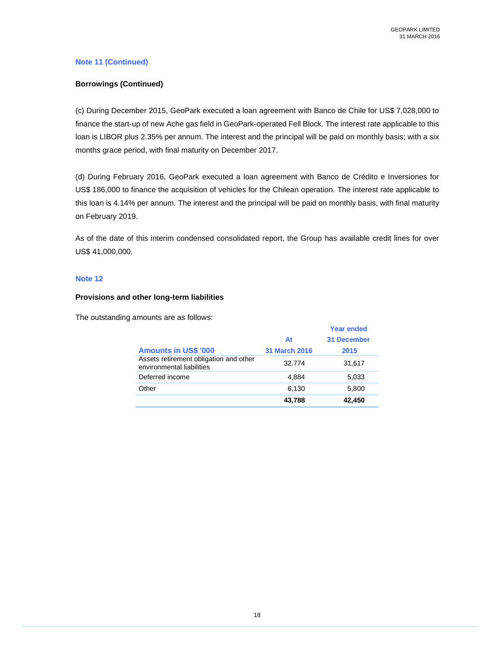# **Note 11 (Continued)**

# **Borrowings (Continued)**

(c) During December 2015, GeoPark executed a loan agreement with Banco de Chile for US\$ 7,028,000 to finance the start-up of new Ache gas field in GeoPark-operated Fell Block. The interest rate applicable to this loan is LIBOR plus 2.35% per annum. The interest and the principal will be paid on monthly basis; with a six months grace period, with final maturity on December 2017.

(d) During February 2016, GeoPark executed a loan agreement with Banco de Crédito e Inversiones for US\$ 186,000 to finance the acquisition of vehicles for the Chilean operation. The interest rate applicable to this loan is 4.14% per annum. The interest and the principal will be paid on monthly basis, with final maturity on February 2019.

As of the date of this interim condensed consolidated report, the Group has available credit lines for over US\$ 41,000,000.

## **Note 12**

### **Provisions and other long-term liabilities**

The outstanding amounts are as follows:

|                                                                     |                      | <b>Year ended</b>  |
|---------------------------------------------------------------------|----------------------|--------------------|
|                                                                     | At                   | <b>31 December</b> |
| <b>Amounts in US\$ '000</b>                                         | <b>31 March 2016</b> | 2015               |
| Assets retirement obligation and other<br>environmental liabilities | 32.774               | 31,617             |
| Deferred income                                                     | 4.884                | 5,033              |
| Other                                                               | 6,130                | 5,800              |
|                                                                     | 43,788               | 42,450             |